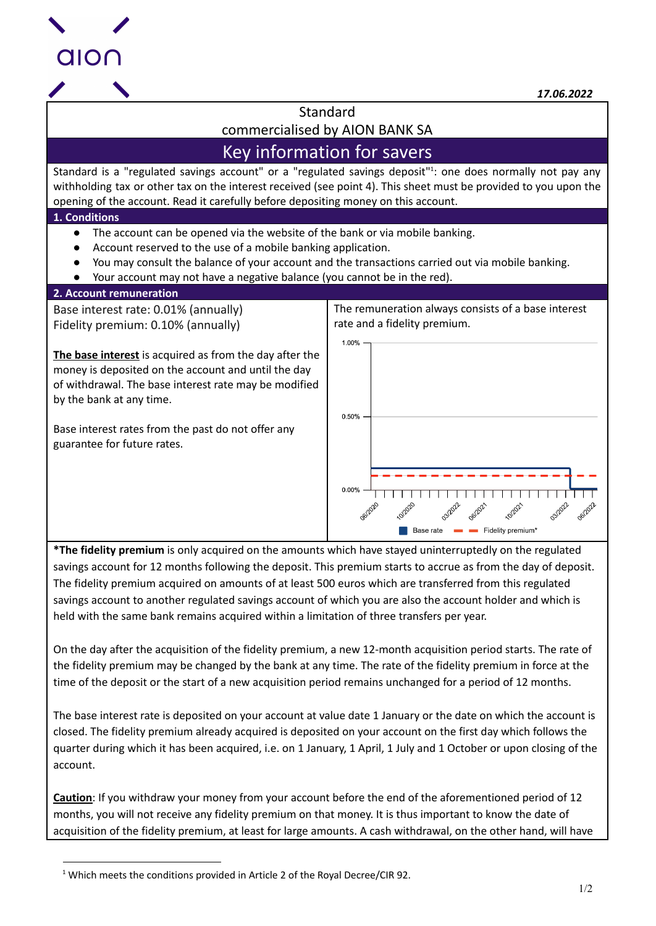

*17.06.2022*

**Standard** 

commercialised by AION BANK SA

# Key information for savers

Standard is a "regulated savings account" or a "regulated savings deposit"<sup>1</sup>: one does normally not pay any withholding tax or other tax on the interest received (see point 4). This sheet must be provided to you upon the opening of the account. Read it carefully before depositing money on this account.

# **1. Conditions**

- The account can be opened via the website of the bank or via mobile banking.
- Account reserved to the use of a mobile banking application.
- You may consult the balance of your account and the transactions carried out via mobile banking.
- Your account may not have a negative balance (you cannot be in the red).

# **2. Account remuneration**

Base interest rate: 0.01% (annually) Fidelity premium: 0.10% (annually)

**The base interest** is acquired as from the day after the money is deposited on the account and until the day of withdrawal. The base interest rate may be modified by the bank at any time.

Base interest rates from the past do not offer any guarantee for future rates.

The remuneration always consists of a base interest rate and a fidelity premium.



**\*The fidelity premium** is only acquired on the amounts which have stayed uninterruptedly on the regulated savings account for 12 months following the deposit. This premium starts to accrue as from the day of deposit. The fidelity premium acquired on amounts of at least 500 euros which are transferred from this regulated savings account to another regulated savings account of which you are also the account holder and which is held with the same bank remains acquired within a limitation of three transfers per year.

On the day after the acquisition of the fidelity premium, a new 12-month acquisition period starts. The rate of the fidelity premium may be changed by the bank at any time. The rate of the fidelity premium in force at the time of the deposit or the start of a new acquisition period remains unchanged for a period of 12 months.

The base interest rate is deposited on your account at value date 1 January or the date on which the account is closed. The fidelity premium already acquired is deposited on your account on the first day which follows the quarter during which it has been acquired, i.e. on 1 January, 1 April, 1 July and 1 October or upon closing of the account.

**Caution**: If you withdraw your money from your account before the end of the aforementioned period of 12 months, you will not receive any fidelity premium on that money. It is thus important to know the date of acquisition of the fidelity premium, at least for large amounts. A cash withdrawal, on the other hand, will have

<sup>&</sup>lt;sup>1</sup> Which meets the conditions provided in Article 2 of the Royal Decree/CIR 92.